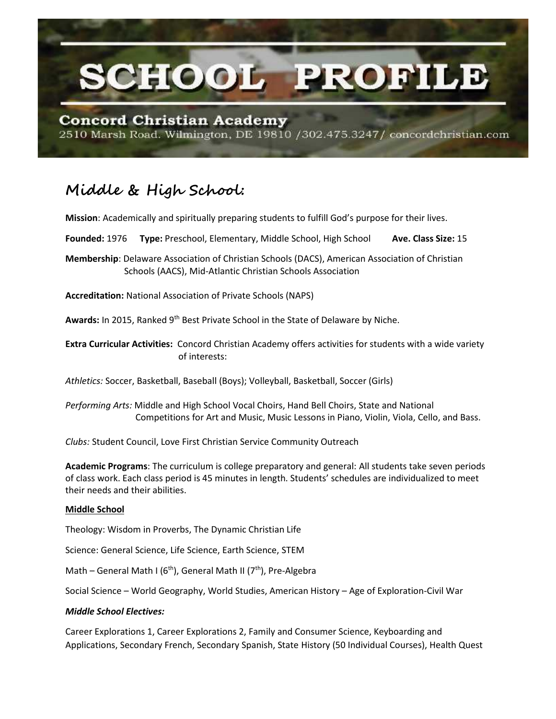

2510 Marsh Road. Wilmington, DE 19810 /302.475.3247/ concordchristian.com

# **Middle & High School:**

**Mission**: Academically and spiritually preparing students to fulfill God's purpose for their lives.

**Founded:** 1976 **Type:** Preschool, Elementary, Middle School, High School **Ave. Class Size:** 15

**Membership**: Delaware Association of Christian Schools (DACS), American Association of Christian Schools (AACS), Mid-Atlantic Christian Schools Association

**Accreditation:** National Association of Private Schools (NAPS)

Awards: In 2015, Ranked 9<sup>th</sup> Best Private School in the State of Delaware by Niche.

**Extra Curricular Activities:** Concord Christian Academy offers activities for students with a wide variety of interests:

*Athletics:* Soccer, Basketball, Baseball (Boys); Volleyball, Basketball, Soccer (Girls)

*Performing Arts:* Middle and High School Vocal Choirs, Hand Bell Choirs, State and National Competitions for Art and Music, Music Lessons in Piano, Violin, Viola, Cello, and Bass.

*Clubs:* Student Council, Love First Christian Service Community Outreach

**Academic Programs**: The curriculum is college preparatory and general: All students take seven periods of class work. Each class period is 45 minutes in length. Students' schedules are individualized to meet their needs and their abilities.

## **Middle School**

Theology: Wisdom in Proverbs, The Dynamic Christian Life

Science: General Science, Life Science, Earth Science, STEM

Math – General Math I ( $6<sup>th</sup>$ ), General Math II ( $7<sup>th</sup>$ ), Pre-Algebra

Social Science – World Geography, World Studies, American History – Age of Exploration-Civil War

## *Middle School Electives:*

Career Explorations 1, Career Explorations 2, Family and Consumer Science, Keyboarding and Applications, Secondary French, Secondary Spanish, State History (50 Individual Courses), Health Quest